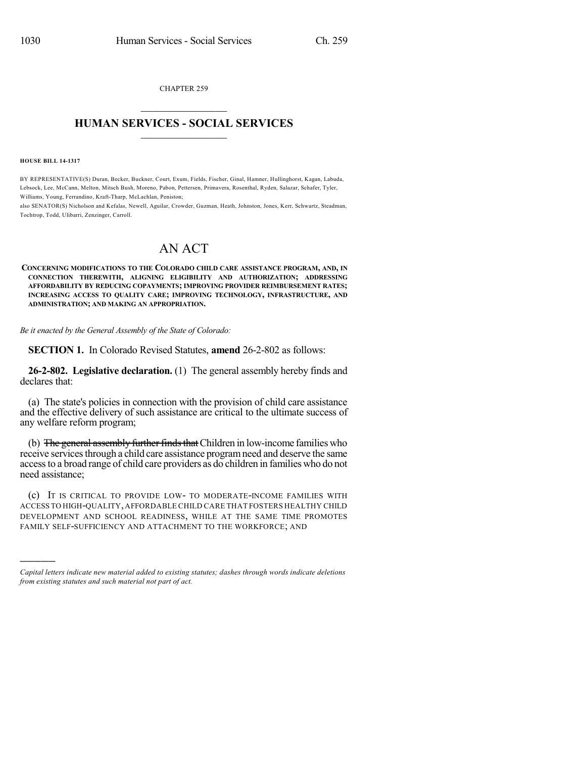CHAPTER 259  $\overline{\phantom{a}}$  . The set of the set of the set of the set of the set of the set of the set of the set of the set of the set of the set of the set of the set of the set of the set of the set of the set of the set of the set o

## **HUMAN SERVICES - SOCIAL SERVICES**  $\frac{1}{2}$  ,  $\frac{1}{2}$  ,  $\frac{1}{2}$  ,  $\frac{1}{2}$  ,  $\frac{1}{2}$  ,  $\frac{1}{2}$  ,  $\frac{1}{2}$

**HOUSE BILL 14-1317**

)))))

BY REPRESENTATIVE(S) Duran, Becker, Buckner, Court, Exum, Fields, Fischer, Ginal, Hamner, Hullinghorst, Kagan, Labuda, Lebsock, Lee, McCann, Melton, Mitsch Bush, Moreno, Pabon, Pettersen, Primavera, Rosenthal, Ryden, Salazar, Schafer, Tyler, Williams, Young, Ferrandino, Kraft-Tharp, McLachlan, Peniston;

also SENATOR(S) Nicholson and Kefalas, Newell, Aguilar, Crowder, Guzman, Heath, Johnston, Jones, Kerr, Schwartz, Steadman, Tochtrop, Todd, Ulibarri, Zenzinger, Carroll.

## AN ACT

**CONCERNING MODIFICATIONS TO THE COLORADO CHILD CARE ASSISTANCE PROGRAM, AND, IN CONNECTION THEREWITH, ALIGNING ELIGIBILITY AND AUTHORIZATION; ADDRESSING AFFORDABILITY BY REDUCING COPAYMENTS; IMPROVING PROVIDER REIMBURSEMENT RATES; INCREASING ACCESS TO QUALITY CARE; IMPROVING TECHNOLOGY, INFRASTRUCTURE, AND ADMINISTRATION; AND MAKING AN APPROPRIATION.**

*Be it enacted by the General Assembly of the State of Colorado:*

**SECTION 1.** In Colorado Revised Statutes, **amend** 26-2-802 as follows:

**26-2-802. Legislative declaration.** (1) The general assembly hereby finds and declares that:

(a) The state's policies in connection with the provision of child care assistance and the effective delivery of such assistance are critical to the ultimate success of any welfare reform program;

(b) The general assembly further finds that Children in low-income families who receive services through a child care assistance program need and deserve the same accessto a broad range of child care providers as do children in families who do not need assistance;

(c) IT IS CRITICAL TO PROVIDE LOW- TO MODERATE-INCOME FAMILIES WITH ACCESS TO HIGH-QUALITY,AFFORDABLE CHILD CARE THAT FOSTERS HEALTHY CHILD DEVELOPMENT AND SCHOOL READINESS, WHILE AT THE SAME TIME PROMOTES FAMILY SELF-SUFFICIENCY AND ATTACHMENT TO THE WORKFORCE; AND

*Capital letters indicate new material added to existing statutes; dashes through words indicate deletions from existing statutes and such material not part of act.*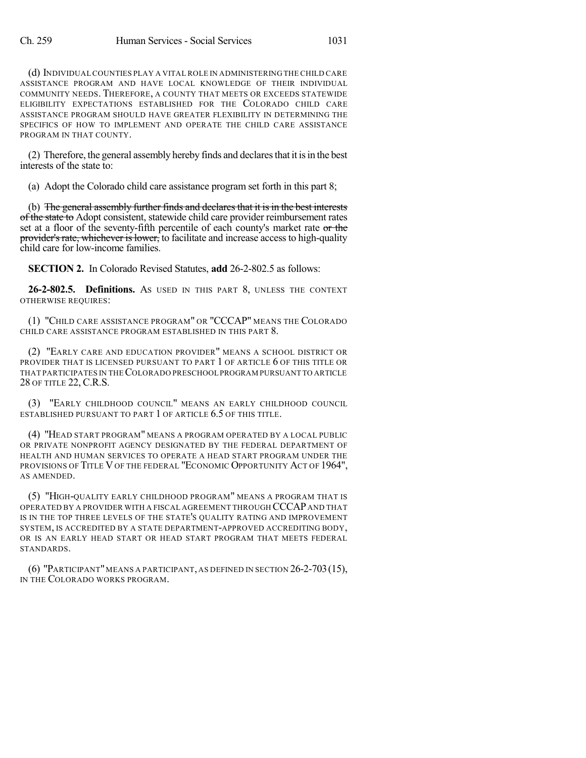(d) INDIVIDUALCOUNTIES PLAY A VITAL ROLE IN ADMINISTERING THE CHILD CARE ASSISTANCE PROGRAM AND HAVE LOCAL KNOWLEDGE OF THEIR INDIVIDUAL COMMUNITY NEEDS. THEREFORE, A COUNTY THAT MEETS OR EXCEEDS STATEWIDE ELIGIBILITY EXPECTATIONS ESTABLISHED FOR THE COLORADO CHILD CARE ASSISTANCE PROGRAM SHOULD HAVE GREATER FLEXIBILITY IN DETERMINING THE SPECIFICS OF HOW TO IMPLEMENT AND OPERATE THE CHILD CARE ASSISTANCE PROGRAM IN THAT COUNTY.

(2) Therefore, the general assembly hereby finds and declares that it is in the best interests of the state to:

(a) Adopt the Colorado child care assistance program set forth in this part 8;

(b) The general assembly further finds and declares that it is in the best interests of the state to Adopt consistent, statewide child care provider reimbursement rates set at a floor of the seventy-fifth percentile of each county's market rate or the provider's rate, whichever is lower, to facilitate and increase access to high-quality child care for low-income families.

**SECTION 2.** In Colorado Revised Statutes, **add** 26-2-802.5 as follows:

**26-2-802.5. Definitions.** AS USED IN THIS PART 8, UNLESS THE CONTEXT OTHERWISE REQUIRES:

(1) "CHILD CARE ASSISTANCE PROGRAM" OR "CCCAP" MEANS THE COLORADO CHILD CARE ASSISTANCE PROGRAM ESTABLISHED IN THIS PART 8.

(2) "EARLY CARE AND EDUCATION PROVIDER" MEANS A SCHOOL DISTRICT OR PROVIDER THAT IS LICENSED PURSUANT TO PART 1 OF ARTICLE 6 OF THIS TITLE OR THAT PARTICIPATES IN THECOLORADO PRESCHOOL PROGRAM PURSUANT TO ARTICLE 28 OF TITLE 22, C.R.S.

(3) "EARLY CHILDHOOD COUNCIL" MEANS AN EARLY CHILDHOOD COUNCIL ESTABLISHED PURSUANT TO PART 1 OF ARTICLE 6.5 OF THIS TITLE.

(4) "HEAD START PROGRAM" MEANS A PROGRAM OPERATED BY A LOCAL PUBLIC OR PRIVATE NONPROFIT AGENCY DESIGNATED BY THE FEDERAL DEPARTMENT OF HEALTH AND HUMAN SERVICES TO OPERATE A HEAD START PROGRAM UNDER THE PROVISIONS OF TITLE V OF THE FEDERAL "ECONOMIC OPPORTUNITY ACT OF 1964", AS AMENDED.

(5) "HIGH-QUALITY EARLY CHILDHOOD PROGRAM" MEANS A PROGRAM THAT IS OPERATED BY A PROVIDER WITH A FISCAL AGREEMENT THROUGH CCCAP AND THAT IS IN THE TOP THREE LEVELS OF THE STATE'S QUALITY RATING AND IMPROVEMENT SYSTEM, IS ACCREDITED BY A STATE DEPARTMENT-APPROVED ACCREDITING BODY, OR IS AN EARLY HEAD START OR HEAD START PROGRAM THAT MEETS FEDERAL STANDARDS.

(6) "PARTICIPANT"MEANS A PARTICIPANT, AS DEFINED IN SECTION 26-2-703(15), IN THE COLORADO WORKS PROGRAM.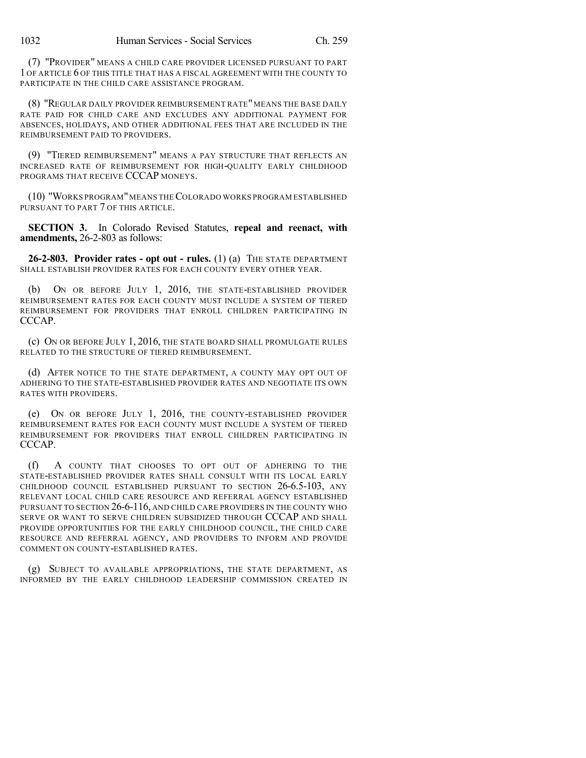(7) "PROVIDER" MEANS A CHILD CARE PROVIDER LICENSED PURSUANT TO PART 1 OF ARTICLE 6 OF THIS TITLE THAT HAS A FISCAL AGREEMENT WITH THE COUNTY TO PARTICIPATE IN THE CHILD CARE ASSISTANCE PROGRAM.

(8) "REGULAR DAILY PROVIDER REIMBURSEMENT RATE" MEANS THE BASE DAILY RATE PAID FOR CHILD CARE AND EXCLUDES ANY ADDITIONAL PAYMENT FOR ABSENCES, HOLIDAYS, AND OTHER ADDITIONAL FEES THAT ARE INCLUDED IN THE REIMBURSEMENT PAID TO PROVIDERS.

(9) "TIERED REIMBURSEMENT" MEANS A PAY STRUCTURE THAT REFLECTS AN INCREASED RATE OF REIMBURSEMENT FOR HIGH-QUALITY EARLY CHILDHOOD PROGRAMS THAT RECEIVE CCCAP MONEYS.

(10) "WORKS PROGRAM"MEANS THECOLORADO WORKS PROGRAM ESTABLISHED PURSUANT TO PART 7 OF THIS ARTICLE.

**SECTION 3.** In Colorado Revised Statutes, **repeal and reenact, with amendments,** 26-2-803 as follows:

**26-2-803. Provider rates - opt out - rules.** (1) (a) THE STATE DEPARTMENT SHALL ESTABLISH PROVIDER RATES FOR EACH COUNTY EVERY OTHER YEAR.

(b) ON OR BEFORE JULY 1, 2016, THE STATE-ESTABLISHED PROVIDER REIMBURSEMENT RATES FOR EACH COUNTY MUST INCLUDE A SYSTEM OF TIERED REIMBURSEMENT FOR PROVIDERS THAT ENROLL CHILDREN PARTICIPATING IN CCCAP.

(c) ON OR BEFORE JULY 1, 2016, THE STATE BOARD SHALL PROMULGATE RULES RELATED TO THE STRUCTURE OF TIERED REIMBURSEMENT.

(d) AFTER NOTICE TO THE STATE DEPARTMENT, A COUNTY MAY OPT OUT OF ADHERING TO THE STATE-ESTABLISHED PROVIDER RATES AND NEGOTIATE ITS OWN RATES WITH PROVIDERS.

(e) ON OR BEFORE JULY 1, 2016, THE COUNTY-ESTABLISHED PROVIDER REIMBURSEMENT RATES FOR EACH COUNTY MUST INCLUDE A SYSTEM OF TIERED REIMBURSEMENT FOR PROVIDERS THAT ENROLL CHILDREN PARTICIPATING IN CCCAP.

(f) A COUNTY THAT CHOOSES TO OPT OUT OF ADHERING TO THE STATE-ESTABLISHED PROVIDER RATES SHALL CONSULT WITH ITS LOCAL EARLY CHILDHOOD COUNCIL ESTABLISHED PURSUANT TO SECTION 26-6.5-103, ANY RELEVANT LOCAL CHILD CARE RESOURCE AND REFERRAL AGENCY ESTABLISHED PURSUANT TO SECTION 26-6-116, AND CHILD CARE PROVIDERS IN THE COUNTY WHO SERVE OR WANT TO SERVE CHILDREN SUBSIDIZED THROUGH CCCAP AND SHALL PROVIDE OPPORTUNITIES FOR THE EARLY CHILDHOOD COUNCIL, THE CHILD CARE RESOURCE AND REFERRAL AGENCY, AND PROVIDERS TO INFORM AND PROVIDE COMMENT ON COUNTY-ESTABLISHED RATES.

(g) SUBJECT TO AVAILABLE APPROPRIATIONS, THE STATE DEPARTMENT, AS INFORMED BY THE EARLY CHILDHOOD LEADERSHIP COMMISSION CREATED IN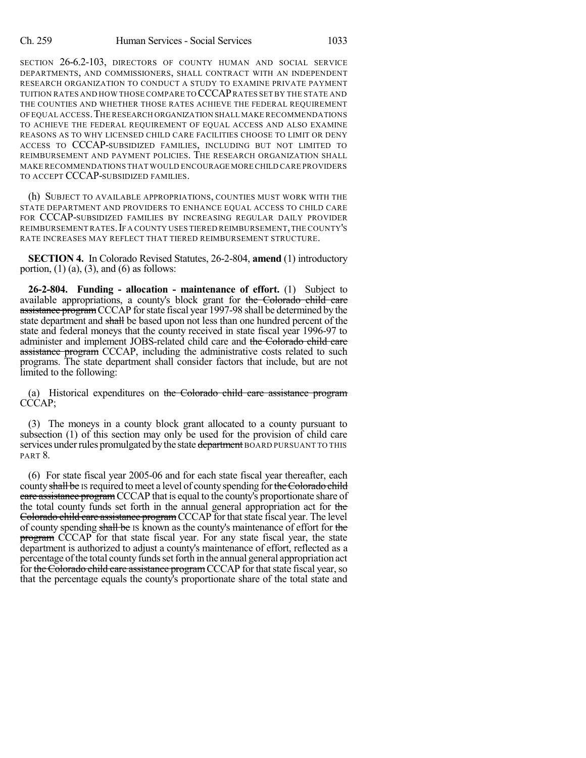SECTION 26-6.2-103, DIRECTORS OF COUNTY HUMAN AND SOCIAL SERVICE DEPARTMENTS, AND COMMISSIONERS, SHALL CONTRACT WITH AN INDEPENDENT RESEARCH ORGANIZATION TO CONDUCT A STUDY TO EXAMINE PRIVATE PAYMENT TUITION RATES AND HOW THOSE COMPARE TO CCCAPRATES SETBY THE STATE AND THE COUNTIES AND WHETHER THOSE RATES ACHIEVE THE FEDERAL REQUIREMENT OF EQUAL ACCESS.THE RESEARCH ORGANIZATION SHALL MAKE RECOMMENDATIONS TO ACHIEVE THE FEDERAL REQUIREMENT OF EQUAL ACCESS AND ALSO EXAMINE REASONS AS TO WHY LICENSED CHILD CARE FACILITIES CHOOSE TO LIMIT OR DENY ACCESS TO CCCAP-SUBSIDIZED FAMILIES, INCLUDING BUT NOT LIMITED TO REIMBURSEMENT AND PAYMENT POLICIES. THE RESEARCH ORGANIZATION SHALL MAKE RECOMMENDATIONS THAT WOULD ENCOURAGE MORE CHILD CARE PROVIDERS TO ACCEPT CCCAP-SUBSIDIZED FAMILIES.

(h) SUBJECT TO AVAILABLE APPROPRIATIONS, COUNTIES MUST WORK WITH THE STATE DEPARTMENT AND PROVIDERS TO ENHANCE EQUAL ACCESS TO CHILD CARE FOR CCCAP-SUBSIDIZED FAMILIES BY INCREASING REGULAR DAILY PROVIDER REIMBURSEMENT RATES.IF A COUNTY USES TIERED REIMBURSEMENT,THE COUNTY'S RATE INCREASES MAY REFLECT THAT TIERED REIMBURSEMENT STRUCTURE.

**SECTION 4.** In Colorado Revised Statutes, 26-2-804, **amend** (1) introductory portion,  $(1)$   $(a)$ ,  $(3)$ , and  $(6)$  as follows:

**26-2-804. Funding - allocation - maintenance of effort.** (1) Subject to available appropriations, a county's block grant for the Colorado child care assistance program CCCAP for state fiscal year 1997-98 shall be determined by the state department and shall be based upon not less than one hundred percent of the state and federal moneys that the county received in state fiscal year 1996-97 to administer and implement JOBS-related child care and the Colorado child care assistance program CCCAP, including the administrative costs related to such programs. The state department shall consider factors that include, but are not limited to the following:

(a) Historical expenditures on the Colorado child care assistance program CCCAP;

(3) The moneys in a county block grant allocated to a county pursuant to subsection (1) of this section may only be used for the provision of child care services under rules promulgated by the state department BOARD PURSUANT TO THIS PART 8.

(6) For state fiscal year 2005-06 and for each state fiscal year thereafter, each county shall be IS required to meet a level of county spending for the Colorado child care assistance program CCCAP that is equal to the county's proportionate share of the total county funds set forth in the annual general appropriation act for the Colorado child care assistance program CCCAP for that state fiscal year. The level of county spending shall be IS known as the county's maintenance of effort for the program CCCAP for that state fiscal year. For any state fiscal year, the state department is authorized to adjust a county's maintenance of effort, reflected as a percentage ofthe total county fundssetforth in the annual general appropriation act for the Colorado child care assistance program CCCAP for that state fiscal year, so that the percentage equals the county's proportionate share of the total state and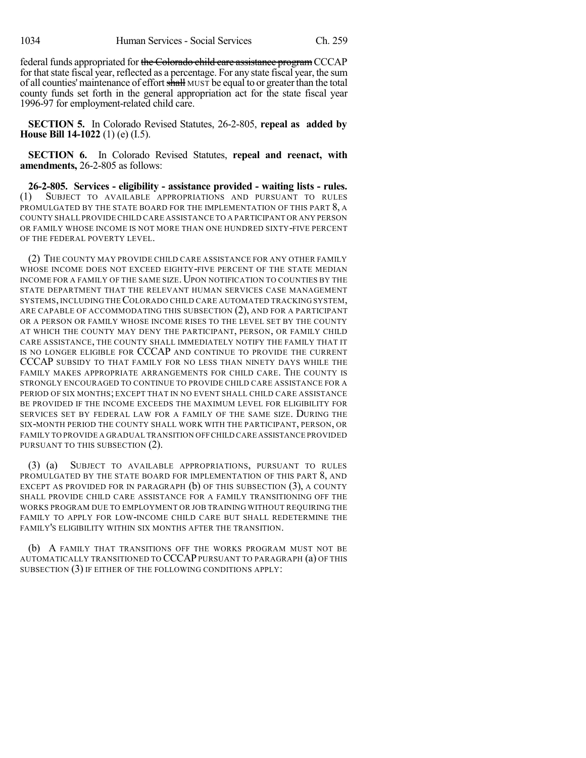federal funds appropriated for the Colorado child care assistance program CCCAP for that state fiscal year, reflected as a percentage. For any state fiscal year, the sum of all counties' maintenance of effort shall MUST be equal to or greater than the total county funds set forth in the general appropriation act for the state fiscal year 1996-97 for employment-related child care.

**SECTION 5.** In Colorado Revised Statutes, 26-2-805, **repeal as added by House Bill 14-1022** (1) (e) (I.5).

**SECTION 6.** In Colorado Revised Statutes, **repeal and reenact, with amendments,** 26-2-805 as follows:

**26-2-805. Services - eligibility - assistance provided - waiting lists - rules.** (1) SUBJECT TO AVAILABLE APPROPRIATIONS AND PURSUANT TO RULES PROMULGATED BY THE STATE BOARD FOR THE IMPLEMENTATION OF THIS PART 8, A COUNTY SHALL PROVIDE CHILD CARE ASSISTANCE TO A PARTICIPANT OR ANY PERSON OR FAMILY WHOSE INCOME IS NOT MORE THAN ONE HUNDRED SIXTY-FIVE PERCENT OF THE FEDERAL POVERTY LEVEL.

(2) THE COUNTY MAY PROVIDE CHILD CARE ASSISTANCE FOR ANY OTHER FAMILY WHOSE INCOME DOES NOT EXCEED EIGHTY-FIVE PERCENT OF THE STATE MEDIAN INCOME FOR A FAMILY OF THE SAME SIZE. UPON NOTIFICATION TO COUNTIES BY THE STATE DEPARTMENT THAT THE RELEVANT HUMAN SERVICES CASE MANAGEMENT SYSTEMS, INCLUDING THECOLORADO CHILD CARE AUTOMATED TRACKING SYSTEM, ARE CAPABLE OF ACCOMMODATING THIS SUBSECTION (2), AND FOR A PARTICIPANT OR A PERSON OR FAMILY WHOSE INCOME RISES TO THE LEVEL SET BY THE COUNTY AT WHICH THE COUNTY MAY DENY THE PARTICIPANT, PERSON, OR FAMILY CHILD CARE ASSISTANCE, THE COUNTY SHALL IMMEDIATELY NOTIFY THE FAMILY THAT IT IS NO LONGER ELIGIBLE FOR CCCAP AND CONTINUE TO PROVIDE THE CURRENT CCCAP SUBSIDY TO THAT FAMILY FOR NO LESS THAN NINETY DAYS WHILE THE FAMILY MAKES APPROPRIATE ARRANGEMENTS FOR CHILD CARE. THE COUNTY IS STRONGLY ENCOURAGED TO CONTINUE TO PROVIDE CHILD CARE ASSISTANCE FOR A PERIOD OF SIX MONTHS; EXCEPT THAT IN NO EVENT SHALL CHILD CARE ASSISTANCE BE PROVIDED IF THE INCOME EXCEEDS THE MAXIMUM LEVEL FOR ELIGIBILITY FOR SERVICES SET BY FEDERAL LAW FOR A FAMILY OF THE SAME SIZE. DURING THE SIX-MONTH PERIOD THE COUNTY SHALL WORK WITH THE PARTICIPANT, PERSON, OR FAMILY TO PROVIDE A GRADUAL TRANSITION OFF CHILD CARE ASSISTANCE PROVIDED PURSUANT TO THIS SUBSECTION (2).

(3) (a) SUBJECT TO AVAILABLE APPROPRIATIONS, PURSUANT TO RULES PROMULGATED BY THE STATE BOARD FOR IMPLEMENTATION OF THIS PART 8, AND EXCEPT AS PROVIDED FOR IN PARAGRAPH  $(b)$  of this subsection  $(3)$ , a county SHALL PROVIDE CHILD CARE ASSISTANCE FOR A FAMILY TRANSITIONING OFF THE WORKS PROGRAM DUE TO EMPLOYMENT OR JOB TRAINING WITHOUT REQUIRING THE FAMILY TO APPLY FOR LOW-INCOME CHILD CARE BUT SHALL REDETERMINE THE FAMILY'S ELIGIBILITY WITHIN SIX MONTHS AFTER THE TRANSITION.

(b) A FAMILY THAT TRANSITIONS OFF THE WORKS PROGRAM MUST NOT BE AUTOMATICALLY TRANSITIONED TO CCCAPPURSUANT TO PARAGRAPH (a) OF THIS SUBSECTION (3) IF EITHER OF THE FOLLOWING CONDITIONS APPLY: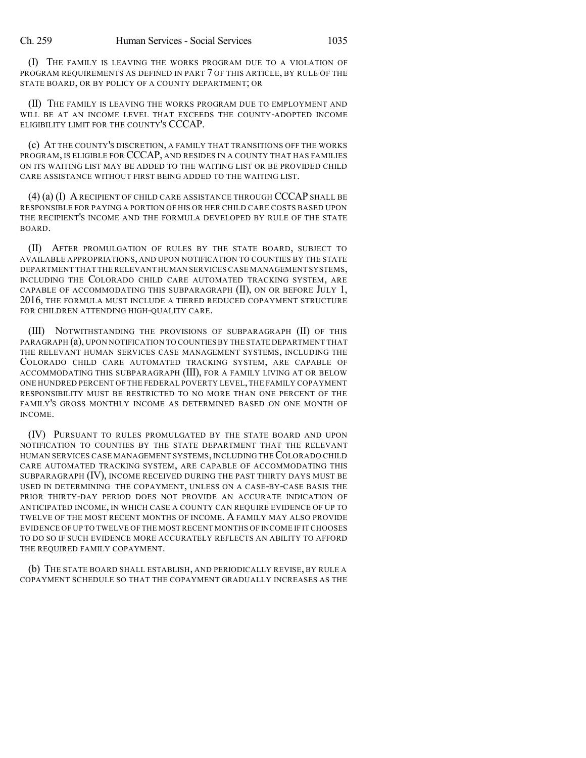(I) THE FAMILY IS LEAVING THE WORKS PROGRAM DUE TO A VIOLATION OF PROGRAM REQUIREMENTS AS DEFINED IN PART 7 OF THIS ARTICLE, BY RULE OF THE STATE BOARD, OR BY POLICY OF A COUNTY DEPARTMENT; OR

(II) THE FAMILY IS LEAVING THE WORKS PROGRAM DUE TO EMPLOYMENT AND WILL BE AT AN INCOME LEVEL THAT EXCEEDS THE COUNTY-ADOPTED INCOME ELIGIBILITY LIMIT FOR THE COUNTY'S CCCAP.

(c) AT THE COUNTY'S DISCRETION, A FAMILY THAT TRANSITIONS OFF THE WORKS PROGRAM, IS ELIGIBLE FOR CCCAP, AND RESIDES IN A COUNTY THAT HAS FAMILIES ON ITS WAITING LIST MAY BE ADDED TO THE WAITING LIST OR BE PROVIDED CHILD CARE ASSISTANCE WITHOUT FIRST BEING ADDED TO THE WAITING LIST.

(4) (a) (I) ARECIPIENT OF CHILD CARE ASSISTANCE THROUGH CCCAP SHALL BE RESPONSIBLE FOR PAYING A PORTION OF HIS OR HER CHILD CARE COSTS BASED UPON THE RECIPIENT'S INCOME AND THE FORMULA DEVELOPED BY RULE OF THE STATE BOARD.

(II) AFTER PROMULGATION OF RULES BY THE STATE BOARD, SUBJECT TO AVAILABLE APPROPRIATIONS, AND UPON NOTIFICATION TO COUNTIES BY THE STATE DEPARTMENT THAT THE RELEVANT HUMAN SERVICES CASE MANAGEMENT SYSTEMS, INCLUDING THE COLORADO CHILD CARE AUTOMATED TRACKING SYSTEM, ARE CAPABLE OF ACCOMMODATING THIS SUBPARAGRAPH  $(II)$ , ON OR BEFORE JULY 1, 2016, THE FORMULA MUST INCLUDE A TIERED REDUCED COPAYMENT STRUCTURE FOR CHILDREN ATTENDING HIGH-QUALITY CARE.

(III) NOTWITHSTANDING THE PROVISIONS OF SUBPARAGRAPH (II) OF THIS PARAGRAPH (a), UPON NOTIFICATION TO COUNTIESBY THE STATE DEPARTMENT THAT THE RELEVANT HUMAN SERVICES CASE MANAGEMENT SYSTEMS, INCLUDING THE COLORADO CHILD CARE AUTOMATED TRACKING SYSTEM, ARE CAPABLE OF ACCOMMODATING THIS SUBPARAGRAPH (III), FOR A FAMILY LIVING AT OR BELOW ONE HUNDRED PERCENT OF THE FEDERAL POVERTY LEVEL,THE FAMILY COPAYMENT RESPONSIBILITY MUST BE RESTRICTED TO NO MORE THAN ONE PERCENT OF THE FAMILY'S GROSS MONTHLY INCOME AS DETERMINED BASED ON ONE MONTH OF INCOME.

(IV) PURSUANT TO RULES PROMULGATED BY THE STATE BOARD AND UPON NOTIFICATION TO COUNTIES BY THE STATE DEPARTMENT THAT THE RELEVANT HUMAN SERVICES CASE MANAGEMENT SYSTEMS, INCLUDING THECOLORADO CHILD CARE AUTOMATED TRACKING SYSTEM, ARE CAPABLE OF ACCOMMODATING THIS SUBPARAGRAPH (IV), INCOME RECEIVED DURING THE PAST THIRTY DAYS MUST BE USED IN DETERMINING THE COPAYMENT, UNLESS ON A CASE-BY-CASE BASIS THE PRIOR THIRTY-DAY PERIOD DOES NOT PROVIDE AN ACCURATE INDICATION OF ANTICIPATED INCOME, IN WHICH CASE A COUNTY CAN REQUIRE EVIDENCE OF UP TO TWELVE OF THE MOST RECENT MONTHS OF INCOME. A FAMILY MAY ALSO PROVIDE EVIDENCE OF UP TO TWELVE OF THE MOST RECENT MONTHS OF INCOME IF IT CHOOSES TO DO SO IF SUCH EVIDENCE MORE ACCURATELY REFLECTS AN ABILITY TO AFFORD THE REQUIRED FAMILY COPAYMENT.

(b) THE STATE BOARD SHALL ESTABLISH, AND PERIODICALLY REVISE, BY RULE A COPAYMENT SCHEDULE SO THAT THE COPAYMENT GRADUALLY INCREASES AS THE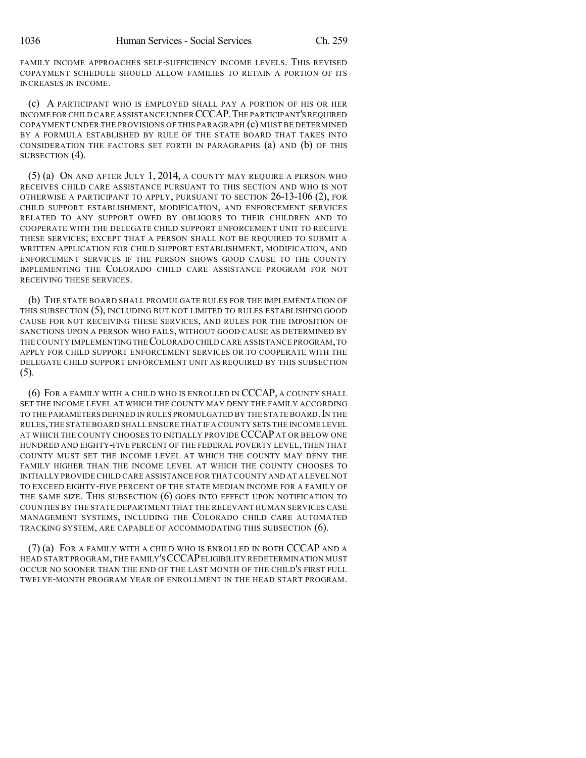FAMILY INCOME APPROACHES SELF-SUFFICIENCY INCOME LEVELS. THIS REVISED COPAYMENT SCHEDULE SHOULD ALLOW FAMILIES TO RETAIN A PORTION OF ITS INCREASES IN INCOME.

(c) A PARTICIPANT WHO IS EMPLOYED SHALL PAY A PORTION OF HIS OR HER INCOME FOR CHILD CARE ASSISTANCE UNDER CCCAP.THE PARTICIPANT'SREQUIRED COPAYMENT UNDER THE PROVISIONS OF THIS PARAGRAPH (c) MUST BE DETERMINED BY A FORMULA ESTABLISHED BY RULE OF THE STATE BOARD THAT TAKES INTO CONSIDERATION THE FACTORS SET FORTH IN PARAGRAPHS (a) AND (b) OF THIS SUBSECTION (4).

(5) (a) ON AND AFTER JULY 1, 2014, A COUNTY MAY REQUIRE A PERSON WHO RECEIVES CHILD CARE ASSISTANCE PURSUANT TO THIS SECTION AND WHO IS NOT OTHERWISE A PARTICIPANT TO APPLY, PURSUANT TO SECTION 26-13-106 (2), FOR CHILD SUPPORT ESTABLISHMENT, MODIFICATION, AND ENFORCEMENT SERVICES RELATED TO ANY SUPPORT OWED BY OBLIGORS TO THEIR CHILDREN AND TO COOPERATE WITH THE DELEGATE CHILD SUPPORT ENFORCEMENT UNIT TO RECEIVE THESE SERVICES; EXCEPT THAT A PERSON SHALL NOT BE REQUIRED TO SUBMIT A WRITTEN APPLICATION FOR CHILD SUPPORT ESTABLISHMENT, MODIFICATION, AND ENFORCEMENT SERVICES IF THE PERSON SHOWS GOOD CAUSE TO THE COUNTY IMPLEMENTING THE COLORADO CHILD CARE ASSISTANCE PROGRAM FOR NOT RECEIVING THESE SERVICES.

(b) THE STATE BOARD SHALL PROMULGATE RULES FOR THE IMPLEMENTATION OF THIS SUBSECTION (5), INCLUDING BUT NOT LIMITED TO RULES ESTABLISHING GOOD CAUSE FOR NOT RECEIVING THESE SERVICES, AND RULES FOR THE IMPOSITION OF SANCTIONS UPON A PERSON WHO FAILS, WITHOUT GOOD CAUSE AS DETERMINED BY THE COUNTY IMPLEMENTINGTHECOLORADO CHILD CARE ASSISTANCE PROGRAM,TO APPLY FOR CHILD SUPPORT ENFORCEMENT SERVICES OR TO COOPERATE WITH THE DELEGATE CHILD SUPPORT ENFORCEMENT UNIT AS REQUIRED BY THIS SUBSECTION (5).

(6) FOR A FAMILY WITH A CHILD WHO IS ENROLLED IN CCCAP, A COUNTY SHALL SET THE INCOME LEVEL AT WHICH THE COUNTY MAY DENY THE FAMILY ACCORDING TO THE PARAMETERS DEFINED IN RULES PROMULGATED BY THE STATE BOARD. IN THE RULES,THE STATE BOARD SHALL ENSURE THAT IF A COUNTY SETS THE INCOME LEVEL AT WHICH THE COUNTY CHOOSES TO INITIALLY PROVIDE CCCAP AT OR BELOW ONE HUNDRED AND EIGHTY-FIVE PERCENT OF THE FEDERAL POVERTY LEVEL, THEN THAT COUNTY MUST SET THE INCOME LEVEL AT WHICH THE COUNTY MAY DENY THE FAMILY HIGHER THAN THE INCOME LEVEL AT WHICH THE COUNTY CHOOSES TO INITIALLY PROVIDE CHILD CARE ASSISTANCE FOR THAT COUNTY AND AT A LEVEL NOT TO EXCEED EIGHTY-FIVE PERCENT OF THE STATE MEDIAN INCOME FOR A FAMILY OF THE SAME SIZE. THIS SUBSECTION (6) GOES INTO EFFECT UPON NOTIFICATION TO COUNTIES BY THE STATE DEPARTMENT THAT THE RELEVANT HUMAN SERVICES CASE MANAGEMENT SYSTEMS, INCLUDING THE COLORADO CHILD CARE AUTOMATED TRACKING SYSTEM, ARE CAPABLE OF ACCOMMODATING THIS SUBSECTION (6).

(7) (a) FOR A FAMILY WITH A CHILD WHO IS ENROLLED IN BOTH CCCAP AND A HEAD START PROGRAM,THE FAMILY'SCCCAPELIGIBILITY REDETERMINATION MUST OCCUR NO SOONER THAN THE END OF THE LAST MONTH OF THE CHILD'S FIRST FULL TWELVE-MONTH PROGRAM YEAR OF ENROLLMENT IN THE HEAD START PROGRAM.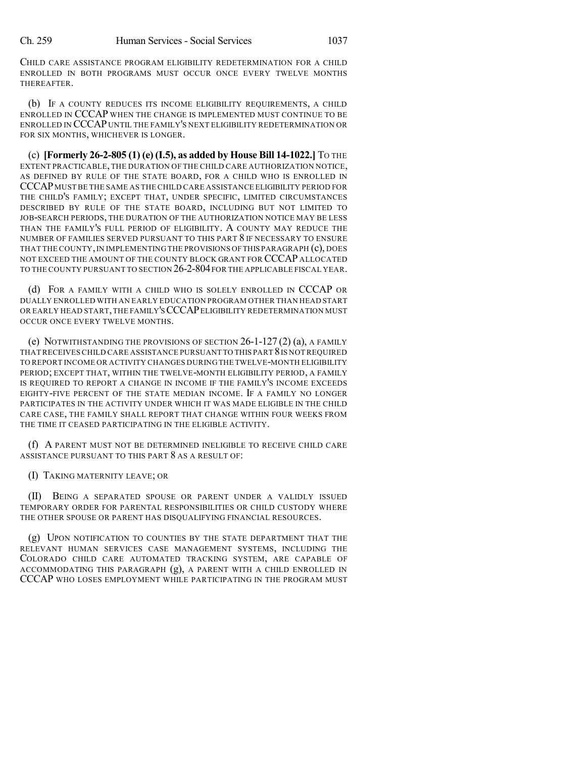CHILD CARE ASSISTANCE PROGRAM ELIGIBILITY REDETERMINATION FOR A CHILD ENROLLED IN BOTH PROGRAMS MUST OCCUR ONCE EVERY TWELVE MONTHS THEREAFTER.

(b) IF A COUNTY REDUCES ITS INCOME ELIGIBILITY REQUIREMENTS, A CHILD ENROLLED IN CCCAP WHEN THE CHANGE IS IMPLEMENTED MUST CONTINUE TO BE ENROLLED IN CCCAP UNTIL THE FAMILY'S NEXT ELIGIBILITY REDETERMINATION OR FOR SIX MONTHS, WHICHEVER IS LONGER.

(c) **[Formerly 26-2-805 (1) (e) (I.5), as added by House Bill 14-1022.]** TO THE EXTENT PRACTICABLE, THE DURATION OF THE CHILD CARE AUTHORIZATION NOTICE, AS DEFINED BY RULE OF THE STATE BOARD, FOR A CHILD WHO IS ENROLLED IN CCCAPMUST BE THE SAME AS THE CHILD CARE ASSISTANCE ELIGIBILITY PERIOD FOR THE CHILD'S FAMILY; EXCEPT THAT, UNDER SPECIFIC, LIMITED CIRCUMSTANCES DESCRIBED BY RULE OF THE STATE BOARD, INCLUDING BUT NOT LIMITED TO JOB-SEARCH PERIODS, THE DURATION OF THE AUTHORIZATION NOTICE MAY BE LESS THAN THE FAMILY'S FULL PERIOD OF ELIGIBILITY. A COUNTY MAY REDUCE THE NUMBER OF FAMILIES SERVED PURSUANT TO THIS PART 8 IF NECESSARY TO ENSURE THAT THE COUNTY,IN IMPLEMENTING THE PROVISIONS OFTHIS PARAGRAPH (c), DOES NOT EXCEED THE AMOUNT OF THE COUNTY BLOCK GRANT FOR CCCAP ALLOCATED TO THE COUNTY PURSUANT TO SECTION 26-2-804FOR THE APPLICABLE FISCAL YEAR.

(d) FOR A FAMILY WITH A CHILD WHO IS SOLELY ENROLLED IN CCCAP OR DUALLY ENROLLED WITH AN EARLY EDUCATION PROGRAM OTHER THAN HEAD START OR EARLY HEAD START,THE FAMILY'SCCCAPELIGIBILITY REDETERMINATION MUST OCCUR ONCE EVERY TWELVE MONTHS.

(e) NOTWITHSTANDING THE PROVISIONS OF SECTION 26-1-127 (2) (a), A FAMILY THATRECEIVES CHILD CARE ASSISTANCE PURSUANT TO THIS PART 8IS NOT REQUIRED TO REPORT INCOME OR ACTIVITY CHANGES DURING THE TWELVE-MONTH ELIGIBILITY PERIOD; EXCEPT THAT, WITHIN THE TWELVE-MONTH ELIGIBILITY PERIOD, A FAMILY IS REQUIRED TO REPORT A CHANGE IN INCOME IF THE FAMILY'S INCOME EXCEEDS EIGHTY-FIVE PERCENT OF THE STATE MEDIAN INCOME. IF A FAMILY NO LONGER PARTICIPATES IN THE ACTIVITY UNDER WHICH IT WAS MADE ELIGIBLE IN THE CHILD CARE CASE, THE FAMILY SHALL REPORT THAT CHANGE WITHIN FOUR WEEKS FROM THE TIME IT CEASED PARTICIPATING IN THE ELIGIBLE ACTIVITY.

(f) A PARENT MUST NOT BE DETERMINED INELIGIBLE TO RECEIVE CHILD CARE ASSISTANCE PURSUANT TO THIS PART 8 AS A RESULT OF:

(I) TAKING MATERNITY LEAVE; OR

(II) BEING A SEPARATED SPOUSE OR PARENT UNDER A VALIDLY ISSUED TEMPORARY ORDER FOR PARENTAL RESPONSIBILITIES OR CHILD CUSTODY WHERE THE OTHER SPOUSE OR PARENT HAS DISQUALIFYING FINANCIAL RESOURCES.

(g) UPON NOTIFICATION TO COUNTIES BY THE STATE DEPARTMENT THAT THE RELEVANT HUMAN SERVICES CASE MANAGEMENT SYSTEMS, INCLUDING THE COLORADO CHILD CARE AUTOMATED TRACKING SYSTEM, ARE CAPABLE OF ACCOMMODATING THIS PARAGRAPH (g), A PARENT WITH A CHILD ENROLLED IN CCCAP WHO LOSES EMPLOYMENT WHILE PARTICIPATING IN THE PROGRAM MUST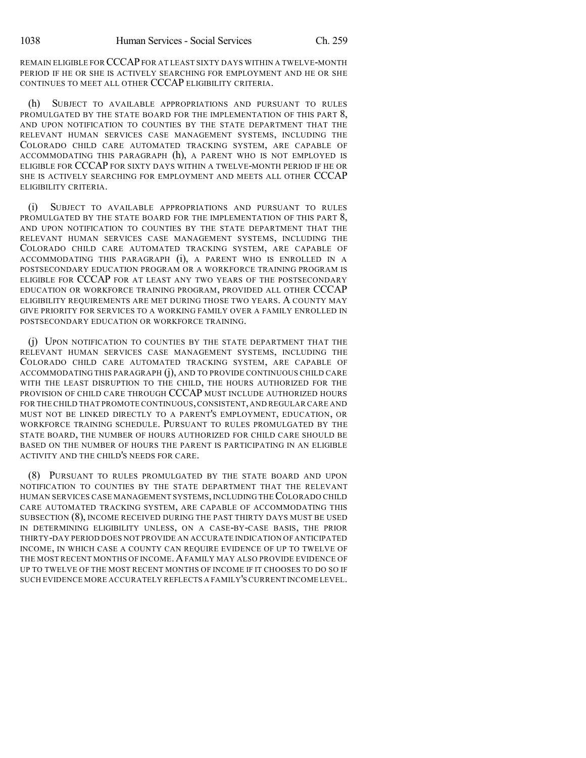REMAIN ELIGIBLE FOR CCCAPFOR AT LEAST SIXTY DAYS WITHIN A TWELVE-MONTH PERIOD IF HE OR SHE IS ACTIVELY SEARCHING FOR EMPLOYMENT AND HE OR SHE CONTINUES TO MEET ALL OTHER CCCAP ELIGIBILITY CRITERIA.

(h) SUBJECT TO AVAILABLE APPROPRIATIONS AND PURSUANT TO RULES PROMULGATED BY THE STATE BOARD FOR THE IMPLEMENTATION OF THIS PART 8, AND UPON NOTIFICATION TO COUNTIES BY THE STATE DEPARTMENT THAT THE RELEVANT HUMAN SERVICES CASE MANAGEMENT SYSTEMS, INCLUDING THE COLORADO CHILD CARE AUTOMATED TRACKING SYSTEM, ARE CAPABLE OF ACCOMMODATING THIS PARAGRAPH (h), A PARENT WHO IS NOT EMPLOYED IS ELIGIBLE FOR CCCAP FOR SIXTY DAYS WITHIN A TWELVE-MONTH PERIOD IF HE OR SHE IS ACTIVELY SEARCHING FOR EMPLOYMENT AND MEETS ALL OTHER CCCAP ELIGIBILITY CRITERIA.

(i) SUBJECT TO AVAILABLE APPROPRIATIONS AND PURSUANT TO RULES PROMULGATED BY THE STATE BOARD FOR THE IMPLEMENTATION OF THIS PART 8, AND UPON NOTIFICATION TO COUNTIES BY THE STATE DEPARTMENT THAT THE RELEVANT HUMAN SERVICES CASE MANAGEMENT SYSTEMS, INCLUDING THE COLORADO CHILD CARE AUTOMATED TRACKING SYSTEM, ARE CAPABLE OF ACCOMMODATING THIS PARAGRAPH (i), A PARENT WHO IS ENROLLED IN A POSTSECONDARY EDUCATION PROGRAM OR A WORKFORCE TRAINING PROGRAM IS ELIGIBLE FOR CCCAP FOR AT LEAST ANY TWO YEARS OF THE POSTSECONDARY EDUCATION OR WORKFORCE TRAINING PROGRAM, PROVIDED ALL OTHER CCCAP ELIGIBILITY REQUIREMENTS ARE MET DURING THOSE TWO YEARS. A COUNTY MAY GIVE PRIORITY FOR SERVICES TO A WORKING FAMILY OVER A FAMILY ENROLLED IN POSTSECONDARY EDUCATION OR WORKFORCE TRAINING.

(j) UPON NOTIFICATION TO COUNTIES BY THE STATE DEPARTMENT THAT THE RELEVANT HUMAN SERVICES CASE MANAGEMENT SYSTEMS, INCLUDING THE COLORADO CHILD CARE AUTOMATED TRACKING SYSTEM, ARE CAPABLE OF ACCOMMODATING THIS PARAGRAPH (j), AND TO PROVIDE CONTINUOUS CHILD CARE WITH THE LEAST DISRUPTION TO THE CHILD, THE HOURS AUTHORIZED FOR THE PROVISION OF CHILD CARE THROUGH CCCAP MUST INCLUDE AUTHORIZED HOURS FOR THE CHILD THAT PROMOTE CONTINUOUS,CONSISTENT,AND REGULAR CARE AND MUST NOT BE LINKED DIRECTLY TO A PARENT'S EMPLOYMENT, EDUCATION, OR WORKFORCE TRAINING SCHEDULE. PURSUANT TO RULES PROMULGATED BY THE STATE BOARD, THE NUMBER OF HOURS AUTHORIZED FOR CHILD CARE SHOULD BE BASED ON THE NUMBER OF HOURS THE PARENT IS PARTICIPATING IN AN ELIGIBLE ACTIVITY AND THE CHILD'S NEEDS FOR CARE.

(8) PURSUANT TO RULES PROMULGATED BY THE STATE BOARD AND UPON NOTIFICATION TO COUNTIES BY THE STATE DEPARTMENT THAT THE RELEVANT HUMAN SERVICES CASE MANAGEMENT SYSTEMS, INCLUDING THECOLORADO CHILD CARE AUTOMATED TRACKING SYSTEM, ARE CAPABLE OF ACCOMMODATING THIS SUBSECTION (8), INCOME RECEIVED DURING THE PAST THIRTY DAYS MUST BE USED IN DETERMINING ELIGIBILITY UNLESS, ON A CASE-BY-CASE BASIS, THE PRIOR THIRTY-DAY PERIOD DOES NOT PROVIDE AN ACCURATE INDICATION OF ANTICIPATED INCOME, IN WHICH CASE A COUNTY CAN REQUIRE EVIDENCE OF UP TO TWELVE OF THE MOST RECENT MONTHS OF INCOME. A FAMILY MAY ALSO PROVIDE EVIDENCE OF UP TO TWELVE OF THE MOST RECENT MONTHS OF INCOME IF IT CHOOSES TO DO SO IF SUCH EVIDENCE MORE ACCURATELY REFLECTS A FAMILY'S CURRENT INCOME LEVEL.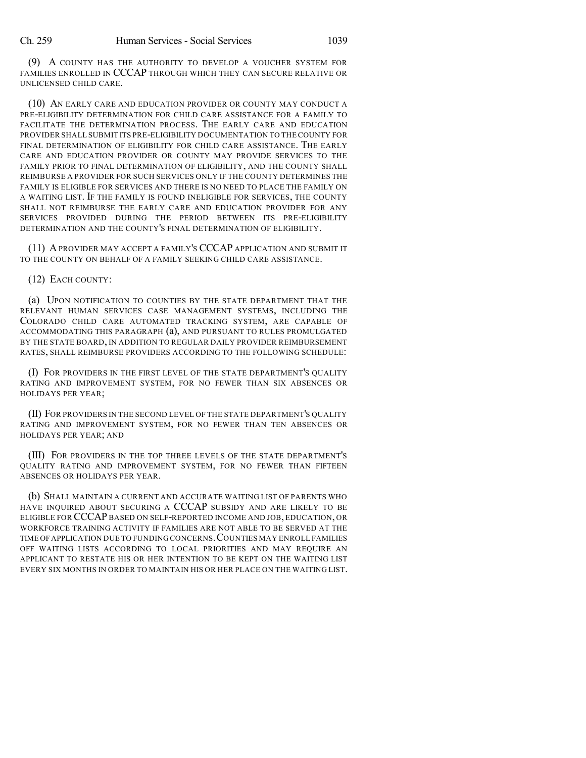(9) A COUNTY HAS THE AUTHORITY TO DEVELOP A VOUCHER SYSTEM FOR FAMILIES ENROLLED IN CCCAP THROUGH WHICH THEY CAN SECURE RELATIVE OR UNLICENSED CHILD CARE.

(10) AN EARLY CARE AND EDUCATION PROVIDER OR COUNTY MAY CONDUCT A PRE-ELIGIBILITY DETERMINATION FOR CHILD CARE ASSISTANCE FOR A FAMILY TO FACILITATE THE DETERMINATION PROCESS. THE EARLY CARE AND EDUCATION PROVIDER SHALL SUBMIT ITS PRE-ELIGIBILITY DOCUMENTATION TO THE COUNTY FOR FINAL DETERMINATION OF ELIGIBILITY FOR CHILD CARE ASSISTANCE. THE EARLY CARE AND EDUCATION PROVIDER OR COUNTY MAY PROVIDE SERVICES TO THE FAMILY PRIOR TO FINAL DETERMINATION OF ELIGIBILITY, AND THE COUNTY SHALL REIMBURSE A PROVIDER FOR SUCH SERVICES ONLY IF THE COUNTY DETERMINES THE FAMILY IS ELIGIBLE FOR SERVICES AND THERE IS NO NEED TO PLACE THE FAMILY ON A WAITING LIST. IF THE FAMILY IS FOUND INELIGIBLE FOR SERVICES, THE COUNTY SHALL NOT REIMBURSE THE EARLY CARE AND EDUCATION PROVIDER FOR ANY SERVICES PROVIDED DURING THE PERIOD BETWEEN ITS PRE-ELIGIBILITY DETERMINATION AND THE COUNTY'S FINAL DETERMINATION OF ELIGIBILITY.

(11) APROVIDER MAY ACCEPT A FAMILY'S CCCAP APPLICATION AND SUBMIT IT TO THE COUNTY ON BEHALF OF A FAMILY SEEKING CHILD CARE ASSISTANCE.

## (12) EACH COUNTY:

(a) UPON NOTIFICATION TO COUNTIES BY THE STATE DEPARTMENT THAT THE RELEVANT HUMAN SERVICES CASE MANAGEMENT SYSTEMS, INCLUDING THE COLORADO CHILD CARE AUTOMATED TRACKING SYSTEM, ARE CAPABLE OF ACCOMMODATING THIS PARAGRAPH (a), AND PURSUANT TO RULES PROMULGATED BY THE STATE BOARD, IN ADDITION TO REGULAR DAILY PROVIDER REIMBURSEMENT RATES, SHALL REIMBURSE PROVIDERS ACCORDING TO THE FOLLOWING SCHEDULE:

(I) FOR PROVIDERS IN THE FIRST LEVEL OF THE STATE DEPARTMENT'S QUALITY RATING AND IMPROVEMENT SYSTEM, FOR NO FEWER THAN SIX ABSENCES OR HOLIDAYS PER YEAR;

(II) FOR PROVIDERS IN THE SECOND LEVEL OF THE STATE DEPARTMENT'S QUALITY RATING AND IMPROVEMENT SYSTEM, FOR NO FEWER THAN TEN ABSENCES OR HOLIDAYS PER YEAR; AND

(III) FOR PROVIDERS IN THE TOP THREE LEVELS OF THE STATE DEPARTMENT'S QUALITY RATING AND IMPROVEMENT SYSTEM, FOR NO FEWER THAN FIFTEEN ABSENCES OR HOLIDAYS PER YEAR.

(b) SHALL MAINTAIN A CURRENT AND ACCURATE WAITING LIST OF PARENTS WHO HAVE INQUIRED ABOUT SECURING A CCCAP SUBSIDY AND ARE LIKELY TO BE ELIGIBLE FOR CCCAP BASED ON SELF-REPORTED INCOME AND JOB, EDUCATION, OR WORKFORCE TRAINING ACTIVITY IF FAMILIES ARE NOT ABLE TO BE SERVED AT THE TIME OFAPPLICATION DUE TO FUNDING CONCERNS.COUNTIES MAY ENROLL FAMILIES OFF WAITING LISTS ACCORDING TO LOCAL PRIORITIES AND MAY REQUIRE AN APPLICANT TO RESTATE HIS OR HER INTENTION TO BE KEPT ON THE WAITING LIST EVERY SIX MONTHS IN ORDER TO MAINTAIN HIS OR HER PLACE ON THE WAITING LIST.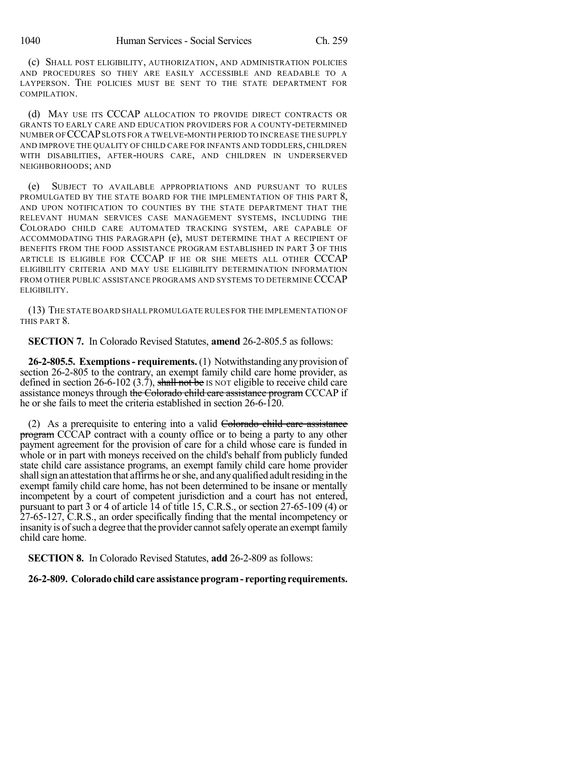(c) SHALL POST ELIGIBILITY, AUTHORIZATION, AND ADMINISTRATION POLICIES AND PROCEDURES SO THEY ARE EASILY ACCESSIBLE AND READABLE TO A LAYPERSON. THE POLICIES MUST BE SENT TO THE STATE DEPARTMENT FOR COMPILATION.

(d) MAY USE ITS CCCAP ALLOCATION TO PROVIDE DIRECT CONTRACTS OR GRANTS TO EARLY CARE AND EDUCATION PROVIDERS FOR A COUNTY-DETERMINED NUMBER OF CCCAPSLOTS FOR A TWELVE-MONTH PERIOD TO INCREASE THE SUPPLY AND IMPROVE THE QUALITY OF CHILD CARE FOR INFANTS AND TODDLERS, CHILDREN WITH DISABILITIES, AFTER-HOURS CARE, AND CHILDREN IN UNDERSERVED NEIGHBORHOODS; AND

(e) SUBJECT TO AVAILABLE APPROPRIATIONS AND PURSUANT TO RULES PROMULGATED BY THE STATE BOARD FOR THE IMPLEMENTATION OF THIS PART 8, AND UPON NOTIFICATION TO COUNTIES BY THE STATE DEPARTMENT THAT THE RELEVANT HUMAN SERVICES CASE MANAGEMENT SYSTEMS, INCLUDING THE COLORADO CHILD CARE AUTOMATED TRACKING SYSTEM, ARE CAPABLE OF ACCOMMODATING THIS PARAGRAPH (e), MUST DETERMINE THAT A RECIPIENT OF BENEFITS FROM THE FOOD ASSISTANCE PROGRAM ESTABLISHED IN PART 3 OF THIS ARTICLE IS ELIGIBLE FOR CCCAP IF HE OR SHE MEETS ALL OTHER CCCAP ELIGIBILITY CRITERIA AND MAY USE ELIGIBILITY DETERMINATION INFORMATION FROM OTHER PUBLIC ASSISTANCE PROGRAMS AND SYSTEMS TO DETERMINE CCCAP ELIGIBILITY.

(13) THE STATE BOARD SHALL PROMULGATE RULES FOR THE IMPLEMENTATION OF THIS PART 8.

**SECTION 7.** In Colorado Revised Statutes, **amend** 26-2-805.5 as follows:

**26-2-805.5. Exemptions- requirements.** (1) Notwithstanding any provision of section 26-2-805 to the contrary, an exempt family child care home provider, as defined in section 26-6-102 (3.7), shall not be IS NOT eligible to receive child care assistance moneys through the Colorado child care assistance program CCCAP if he or she fails to meet the criteria established in section 26-6-120.

(2) As a prerequisite to entering into a valid Colorado child care assistance program CCCAP contract with a county office or to being a party to any other payment agreement for the provision of care for a child whose care is funded in whole or in part with moneys received on the child's behalf from publicly funded state child care assistance programs, an exempt family child care home provider shall sign an attestation that affirms he or she, and any qualified adult residing in the exempt family child care home, has not been determined to be insane or mentally incompetent by a court of competent jurisdiction and a court has not entered, pursuant to part 3 or 4 of article 14 of title 15, C.R.S., or section 27-65-109 (4) or 27-65-127, C.R.S., an order specifically finding that the mental incompetency or insanity is of such a degree that the provider cannot safely operate an exempt family child care home.

**SECTION 8.** In Colorado Revised Statutes, **add** 26-2-809 as follows:

## **26-2-809. Colorado child care assistance program- reporting requirements.**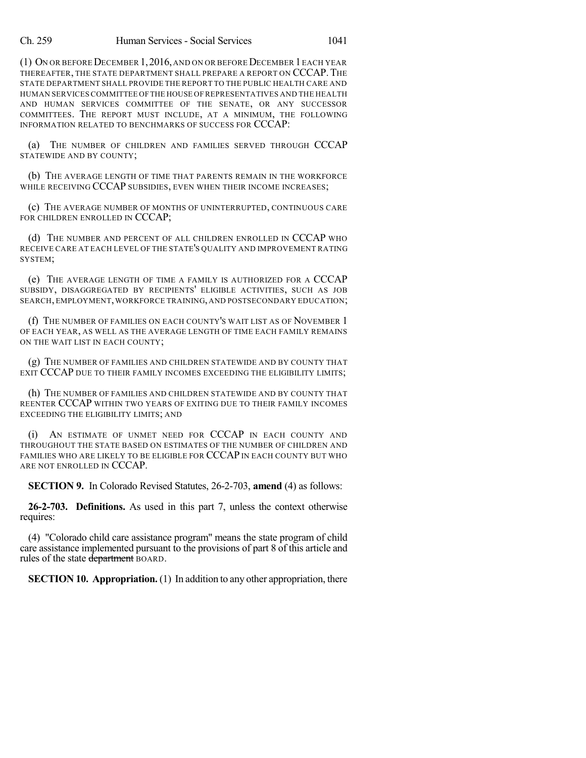(1) ON OR BEFORE DECEMBER 1,2016, AND ON OR BEFORE DECEMBER 1EACH YEAR THEREAFTER, THE STATE DEPARTMENT SHALL PREPARE A REPORT ON CCCAP. THE STATE DEPARTMENT SHALL PROVIDE THE REPORT TO THE PUBLIC HEALTH CARE AND HUMAN SERVICES COMMITTEE OFTHE HOUSE OF REPRESENTATIVES AND THE HEALTH AND HUMAN SERVICES COMMITTEE OF THE SENATE, OR ANY SUCCESSOR COMMITTEES. THE REPORT MUST INCLUDE, AT A MINIMUM, THE FOLLOWING INFORMATION RELATED TO BENCHMARKS OF SUCCESS FOR CCCAP:

(a) THE NUMBER OF CHILDREN AND FAMILIES SERVED THROUGH CCCAP STATEWIDE AND BY COUNTY;

(b) THE AVERAGE LENGTH OF TIME THAT PARENTS REMAIN IN THE WORKFORCE WHILE RECEIVING CCCAP SUBSIDIES, EVEN WHEN THEIR INCOME INCREASES;

(c) THE AVERAGE NUMBER OF MONTHS OF UNINTERRUPTED, CONTINUOUS CARE FOR CHILDREN ENROLLED IN CCCAP;

(d) THE NUMBER AND PERCENT OF ALL CHILDREN ENROLLED IN CCCAP WHO RECEIVE CARE AT EACH LEVEL OF THE STATE'S QUALITY AND IMPROVEMENT RATING SYSTEM;

(e) THE AVERAGE LENGTH OF TIME A FAMILY IS AUTHORIZED FOR A CCCAP SUBSIDY, DISAGGREGATED BY RECIPIENTS' ELIGIBLE ACTIVITIES, SUCH AS JOB SEARCH, EMPLOYMENT,WORKFORCE TRAINING, AND POSTSECONDARY EDUCATION;

(f) THE NUMBER OF FAMILIES ON EACH COUNTY'S WAIT LIST AS OF NOVEMBER 1 OF EACH YEAR, AS WELL AS THE AVERAGE LENGTH OF TIME EACH FAMILY REMAINS ON THE WAIT LIST IN EACH COUNTY;

(g) THE NUMBER OF FAMILIES AND CHILDREN STATEWIDE AND BY COUNTY THAT EXIT CCCAP DUE TO THEIR FAMILY INCOMES EXCEEDING THE ELIGIBILITY LIMITS;

(h) THE NUMBER OF FAMILIES AND CHILDREN STATEWIDE AND BY COUNTY THAT REENTER CCCAP WITHIN TWO YEARS OF EXITING DUE TO THEIR FAMILY INCOMES EXCEEDING THE ELIGIBILITY LIMITS; AND

(i) AN ESTIMATE OF UNMET NEED FOR CCCAP IN EACH COUNTY AND THROUGHOUT THE STATE BASED ON ESTIMATES OF THE NUMBER OF CHILDREN AND FAMILIES WHO ARE LIKELY TO BE ELIGIBLE FOR CCCAP IN EACH COUNTY BUT WHO ARE NOT ENROLLED IN CCCAP.

**SECTION 9.** In Colorado Revised Statutes, 26-2-703, **amend** (4) as follows:

**26-2-703. Definitions.** As used in this part 7, unless the context otherwise requires:

(4) "Colorado child care assistance program" means the state program of child care assistance implemented pursuant to the provisions of part 8 of this article and rules of the state department BOARD.

**SECTION 10. Appropriation.** (1) In addition to any other appropriation, there